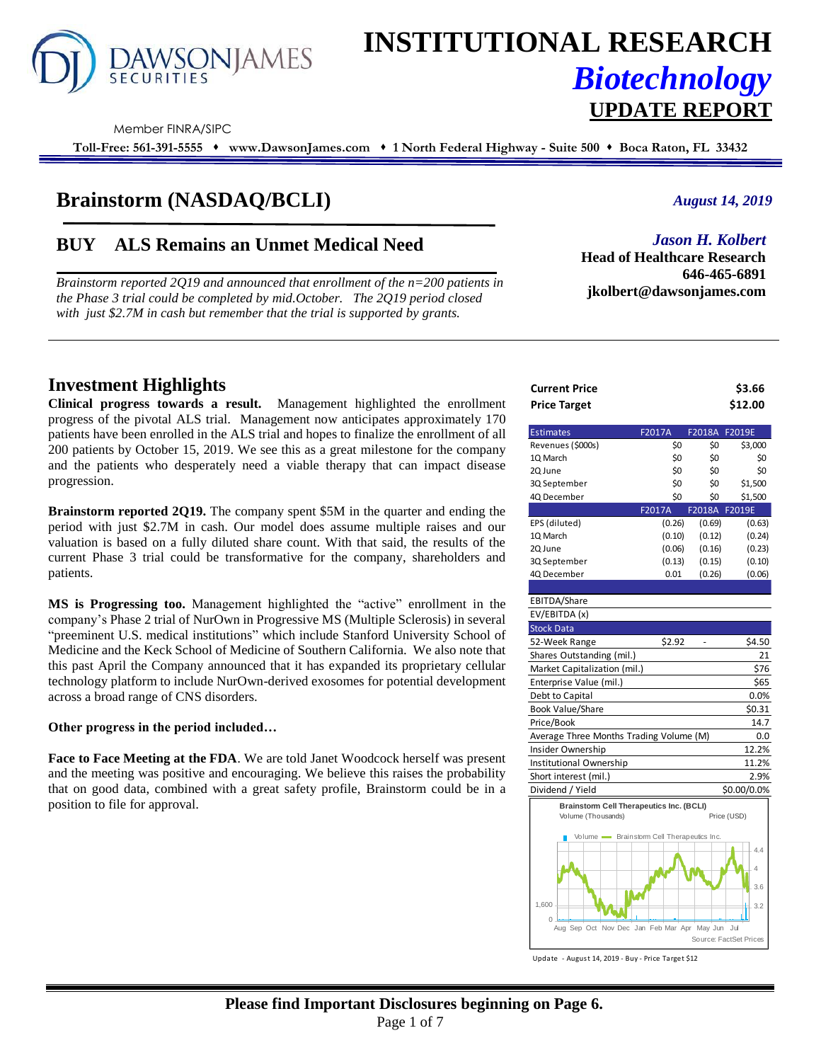

# **INSTITUTIONAL RESEARCH** *Biotechnology* **UPDATE REPORT**

Member FINRA/SIPC

**Toll-Free: 561-391-5555** ⬧ **www.DawsonJames.com** ⬧ **1 North Federal Highway - Suite 500** ⬧ **Boca Raton, FL 33432**

# **Brainstorm (NASDAQ/BCLI)**

# **BUY ALS Remains an Unmet Medical Need**

*Brainstorm reported 2Q19 and announced that enrollment of the n=200 patients in the Phase 3 trial could be completed by mid.October. The 2Q19 period closed with just \$2.7M in cash but remember that the trial is supported by grants.* 

#### *August 14, 2019*

### *Jason H. Kolbert*

**Head of Healthcare Research 646-465-6891 jkolbert@dawsonjames.com**

# **Investment Highlights**

**Clinical progress towards a result.** Management highlighted the enrollment progress of the pivotal ALS trial. Management now anticipates approximately 170 patients have been enrolled in the ALS trial and hopes to finalize the enrollment of all 200 patients by October 15, 2019. We see this as a great milestone for the company and the patients who desperately need a viable therapy that can impact disease progression.

**Brainstorm reported 2Q19.** The company spent \$5M in the quarter and ending the period with just \$2.7M in cash. Our model does assume multiple raises and our valuation is based on a fully diluted share count. With that said, the results of the current Phase 3 trial could be transformative for the company, shareholders and patients.

**MS is Progressing too.** Management highlighted the "active" enrollment in the company's Phase 2 trial of NurOwn in Progressive MS (Multiple Sclerosis) in several "preeminent U.S. medical institutions" which include Stanford University School of Medicine and the Keck School of Medicine of Southern California. We also note that this past April the Company announced that it has expanded its proprietary cellular technology platform to include NurOwn-derived exosomes for potential development across a broad range of CNS disorders.

#### **Other progress in the period included…**

**Face to Face Meeting at the FDA**. We are told Janet Woodcock herself was present and the meeting was positive and encouraging. We believe this raises the probability that on good data, combined with a great safety profile, Brainstorm could be in a position to file for approval.

| <b>Current Price</b> | \$3.66  |
|----------------------|---------|
| <b>Price Target</b>  | \$12.00 |

| <b>Estimates</b>  | F2017A | F2018A | F2019E  |
|-------------------|--------|--------|---------|
| Revenues (\$000s) | \$0    | \$0    | \$3,000 |
| 10 March          | \$0    | \$0    | \$0     |
| 2Q June           | \$0    | \$0    | \$0     |
| 3Q September      | \$0    | \$0    | \$1,500 |
| 40 December       | \$0    | \$0    | \$1,500 |
|                   | F2017A | F2018A | F2019E  |
| EPS (diluted)     | (0.26) | (0.69) | (0.63)  |
| 10 March          | (0.10) | (0.12) | (0.24)  |
| 20 June           | (0.06) | (0.16) | (0.23)  |
| 3Q September      | (0.13) | (0.15) | (0.10)  |
|                   |        |        |         |

# EBITDA/Share

| EV/EBITDA (x)                           |        |             |
|-----------------------------------------|--------|-------------|
| <b>Stock Data</b>                       |        |             |
| 52-Week Range                           | \$2.92 | \$4.50      |
| Shares Outstanding (mil.)               |        | 21          |
| Market Capitalization (mil.)            |        | \$76        |
| Enterprise Value (mil.)                 |        | \$65        |
| Debt to Capital                         |        | 0.0%        |
| <b>Book Value/Share</b>                 |        | \$0.31      |
| Price/Book                              |        | 14.7        |
| Average Three Months Trading Volume (M) |        | 0.0         |
| Insider Ownership                       |        | 12.2%       |
| Institutional Ownership                 |        | 11.2%       |
| Short interest (mil.)                   |        | 2.9%        |
| Dividend / Yield                        |        | \$0.00/0.0% |



Update - August 14, 2019 - Buy - Price Target \$12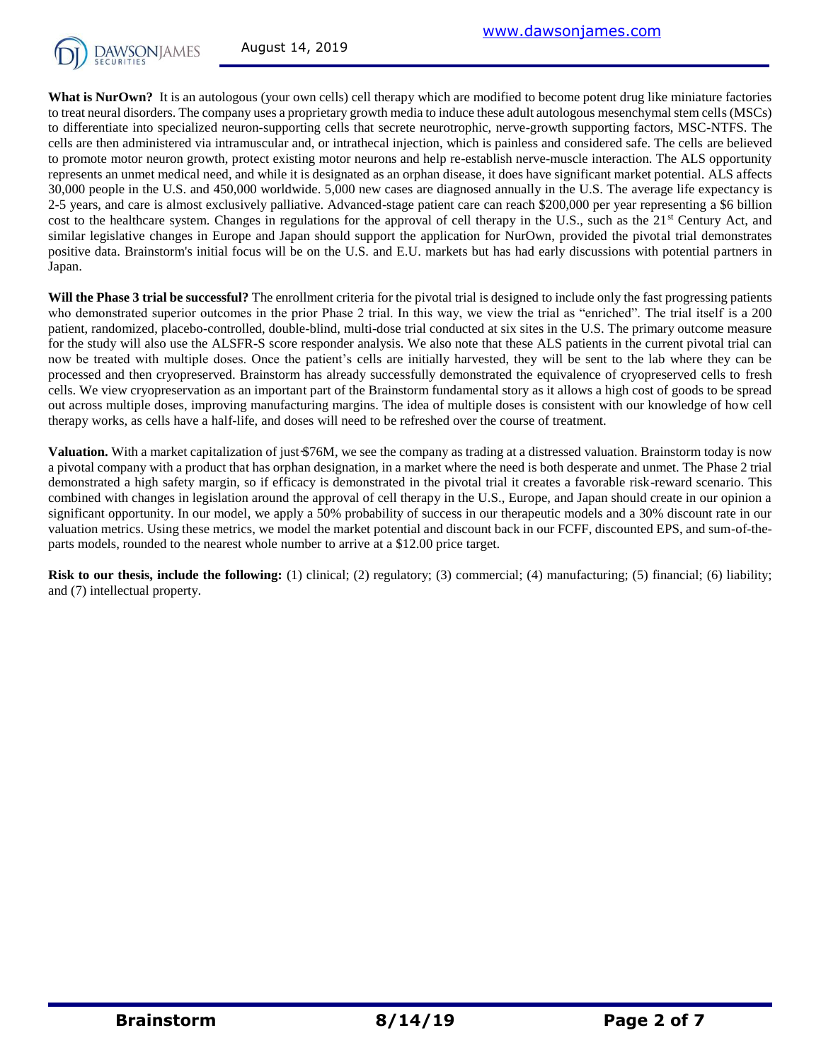

**What is NurOwn?** It is an autologous (your own cells) cell therapy which are modified to become potent drug like miniature factories to treat neural disorders. The company uses a proprietary growth media to induce these adult autologous mesenchymal stem cells (MSCs) to differentiate into specialized neuron-supporting cells that secrete neurotrophic, nerve-growth supporting factors, MSC-NTFS. The cells are then administered via intramuscular and, or intrathecal injection, which is painless and considered safe. The cells are believed to promote motor neuron growth, protect existing motor neurons and help re-establish nerve-muscle interaction. The ALS opportunity represents an unmet medical need, and while it is designated as an orphan disease, it does have significant market potential. ALS affects 30,000 people in the U.S. and 450,000 worldwide. 5,000 new cases are diagnosed annually in the U.S. The average life expectancy is 2-5 years, and care is almost exclusively palliative. Advanced-stage patient care can reach \$200,000 per year representing a \$6 billion cost to the healthcare system. Changes in regulations for the approval of cell therapy in the U.S., such as the 21<sup>st</sup> Century Act, and similar legislative changes in Europe and Japan should support the application for NurOwn, provided the pivotal trial demonstrates positive data. Brainstorm's initial focus will be on the U.S. and E.U. markets but has had early discussions with potential partners in Japan.

Will the Phase 3 trial be successful? The enrollment criteria for the pivotal trial is designed to include only the fast progressing patients who demonstrated superior outcomes in the prior Phase 2 trial. In this way, we view the trial as "enriched". The trial itself is a 200 patient, randomized, placebo-controlled, double-blind, multi-dose trial conducted at six sites in the U.S. The primary outcome measure for the study will also use the ALSFR-S score responder analysis. We also note that these ALS patients in the current pivotal trial can now be treated with multiple doses. Once the patient's cells are initially harvested, they will be sent to the lab where they can be processed and then cryopreserved. Brainstorm has already successfully demonstrated the equivalence of cryopreserved cells to fresh cells. We view cryopreservation as an important part of the Brainstorm fundamental story as it allows a high cost of goods to be spread out across multiple doses, improving manufacturing margins. The idea of multiple doses is consistent with our knowledge of how cell therapy works, as cells have a half-life, and doses will need to be refreshed over the course of treatment.

**Valuation.** With a market capitalization of just \$76M, we see the company as trading at a distressed valuation. Brainstorm today is now a pivotal company with a product that has orphan designation, in a market where the need is both desperate and unmet. The Phase 2 trial demonstrated a high safety margin, so if efficacy is demonstrated in the pivotal trial it creates a favorable risk-reward scenario. This combined with changes in legislation around the approval of cell therapy in the U.S., Europe, and Japan should create in our opinion a significant opportunity. In our model, we apply a 50% probability of success in our therapeutic models and a 30% discount rate in our valuation metrics. Using these metrics, we model the market potential and discount back in our FCFF, discounted EPS, and sum-of-theparts models, rounded to the nearest whole number to arrive at a \$12.00 price target.

**Risk to our thesis, include the following:** (1) clinical; (2) regulatory; (3) commercial; (4) manufacturing; (5) financial; (6) liability; and (7) intellectual property.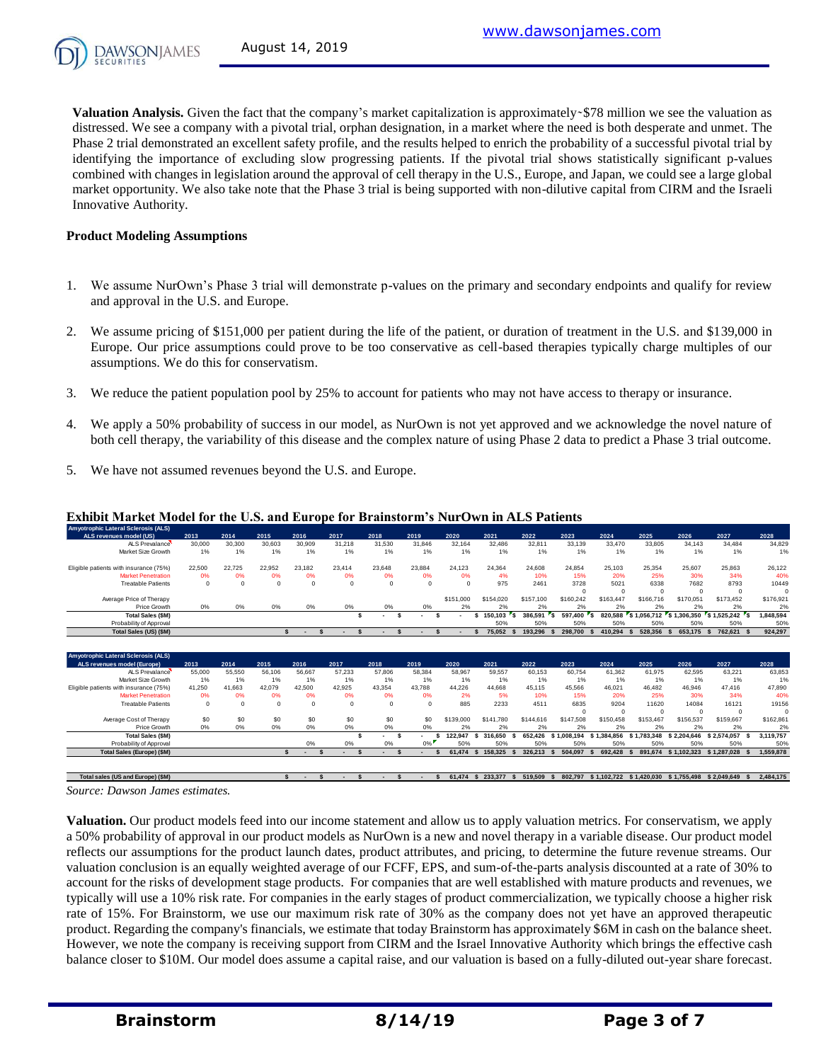**Valuation Analysis.** Given the fact that the company's market capitalization is approximately - \$78 million we see the valuation as distressed. We see a company with a pivotal trial, orphan designation, in a market where the need is both desperate and unmet. The Phase 2 trial demonstrated an excellent safety profile, and the results helped to enrich the probability of a successful pivotal trial by identifying the importance of excluding slow progressing patients. If the pivotal trial shows statistically significant p-values combined with changes in legislation around the approval of cell therapy in the U.S., Europe, and Japan, we could see a large global market opportunity. We also take note that the Phase 3 trial is being supported with non-dilutive capital from CIRM and the Israeli Innovative Authority.

#### **Product Modeling Assumptions**

- 1. We assume NurOwn's Phase 3 trial will demonstrate p-values on the primary and secondary endpoints and qualify for review and approval in the U.S. and Europe.
- 2. We assume pricing of \$151,000 per patient during the life of the patient, or duration of treatment in the U.S. and \$139,000 in Europe. Our price assumptions could prove to be too conservative as cell-based therapies typically charge multiples of our assumptions. We do this for conservatism.
- 3. We reduce the patient population pool by 25% to account for patients who may not have access to therapy or insurance.
- 4. We apply a 50% probability of success in our model, as NurOwn is not yet approved and we acknowledge the novel nature of both cell therapy, the variability of this disease and the complex nature of using Phase 2 data to predict a Phase 3 trial outcome.
- 5. We have not assumed revenues beyond the U.S. and Europe.

|             |                                                |                                                        |                                             |                                                                           |                                                             |                                                            | <b>Exhibit Market Model for the U.S. and Europe for Brainstorm's NurOwn in ALS Patients</b> |                                                                                                 |                                                                                                                     |                                                                                                                  |                                                                                                                                 |                                                                                                                                 |                                                                                                                                              |                                                                                                                                      |                                                                                                                                                                |
|-------------|------------------------------------------------|--------------------------------------------------------|---------------------------------------------|---------------------------------------------------------------------------|-------------------------------------------------------------|------------------------------------------------------------|---------------------------------------------------------------------------------------------|-------------------------------------------------------------------------------------------------|---------------------------------------------------------------------------------------------------------------------|------------------------------------------------------------------------------------------------------------------|---------------------------------------------------------------------------------------------------------------------------------|---------------------------------------------------------------------------------------------------------------------------------|----------------------------------------------------------------------------------------------------------------------------------------------|--------------------------------------------------------------------------------------------------------------------------------------|----------------------------------------------------------------------------------------------------------------------------------------------------------------|
| 2013        |                                                | 2015                                                   |                                             |                                                                           |                                                             | 2019                                                       | 2020                                                                                        |                                                                                                 | 2022                                                                                                                | 2023                                                                                                             | 2024                                                                                                                            |                                                                                                                                 | 2026                                                                                                                                         |                                                                                                                                      | 2028                                                                                                                                                           |
| 30,000      | 30,300                                         | 30.603                                                 | 30,909                                      | 31,218                                                                    | 31,530                                                      | 31,846                                                     | 32.164                                                                                      | 32,486                                                                                          | 32,811                                                                                                              | 33,139                                                                                                           | 33,470                                                                                                                          | 33,805                                                                                                                          | 34.143                                                                                                                                       | 34,484                                                                                                                               | 34,829                                                                                                                                                         |
| 1%          | 1%                                             | 1%                                                     | 1%                                          | 1%                                                                        | 1%                                                          | 1%                                                         | 1%                                                                                          | 1%                                                                                              | 1%                                                                                                                  | 1%                                                                                                               | 1%                                                                                                                              | 1%                                                                                                                              | 1%                                                                                                                                           | 1%                                                                                                                                   | 1%                                                                                                                                                             |
| 22,500      | 22.725                                         | 22.952                                                 | 23.182                                      | 23.414                                                                    | 23.648                                                      | 23.884                                                     | 24.123                                                                                      | 24.364                                                                                          | 24.608                                                                                                              | 24.854                                                                                                           | 25.103                                                                                                                          | 25.354                                                                                                                          | 25.607                                                                                                                                       | 25.863                                                                                                                               | 26,122                                                                                                                                                         |
| 0%          | 0%                                             | 0%                                                     | 0%                                          | 0%                                                                        | 0%                                                          | 0%                                                         | 0%                                                                                          | 4%                                                                                              | 10%                                                                                                                 | 15%                                                                                                              | 20%                                                                                                                             | 25%                                                                                                                             | 30%                                                                                                                                          | 34%                                                                                                                                  | 40%                                                                                                                                                            |
| $\mathbf 0$ | $\mathbf 0$                                    | $\Omega$                                               | $\Omega$                                    | $\mathbf 0$                                                               | $\Omega$                                                    | $\mathbf 0$                                                | $\Omega$                                                                                    | 975                                                                                             | 2461                                                                                                                | 3728                                                                                                             | 5021                                                                                                                            | 6338                                                                                                                            | 7682                                                                                                                                         | 8793                                                                                                                                 | 10449                                                                                                                                                          |
|             |                                                |                                                        |                                             |                                                                           |                                                             |                                                            |                                                                                             |                                                                                                 |                                                                                                                     |                                                                                                                  |                                                                                                                                 |                                                                                                                                 |                                                                                                                                              |                                                                                                                                      | $\Omega$                                                                                                                                                       |
|             |                                                |                                                        |                                             |                                                                           |                                                             |                                                            |                                                                                             |                                                                                                 |                                                                                                                     |                                                                                                                  |                                                                                                                                 |                                                                                                                                 |                                                                                                                                              |                                                                                                                                      | \$176,921                                                                                                                                                      |
|             |                                                |                                                        |                                             |                                                                           |                                                             |                                                            |                                                                                             |                                                                                                 |                                                                                                                     |                                                                                                                  |                                                                                                                                 |                                                                                                                                 |                                                                                                                                              |                                                                                                                                      | 2%<br>1,848,594                                                                                                                                                |
|             |                                                |                                                        |                                             |                                                                           |                                                             |                                                            |                                                                                             |                                                                                                 |                                                                                                                     |                                                                                                                  |                                                                                                                                 |                                                                                                                                 |                                                                                                                                              |                                                                                                                                      | 50%                                                                                                                                                            |
|             |                                                |                                                        | $\mathbf{\hat{S}}$                          | $\mathbf{\hat{z}}$                                                        |                                                             |                                                            |                                                                                             |                                                                                                 |                                                                                                                     |                                                                                                                  |                                                                                                                                 |                                                                                                                                 |                                                                                                                                              |                                                                                                                                      | 924,297                                                                                                                                                        |
| 2013        | 2014                                           | 2015                                                   | 2016                                        | 2017                                                                      | 2018                                                        | 2019                                                       | 2020                                                                                        | 2021                                                                                            | 2022                                                                                                                | 2023                                                                                                             | 2024                                                                                                                            | 2025                                                                                                                            | 2026                                                                                                                                         | 2027                                                                                                                                 | 2028                                                                                                                                                           |
| 55,000      | 55,550                                         | 56.106                                                 | 56.667                                      | 57.233                                                                    | 57,806                                                      | 58.384                                                     | 58.967                                                                                      | 59.557                                                                                          | 60.153                                                                                                              | 60.754                                                                                                           | 61.362                                                                                                                          | 61.975                                                                                                                          | 62.595                                                                                                                                       | 63,221                                                                                                                               | 63,853                                                                                                                                                         |
| 1%          | 1%                                             | 1%                                                     | 1%                                          | 1%                                                                        | 1%                                                          | $1\%$                                                      | 1%                                                                                          | 1%                                                                                              | 1%                                                                                                                  | 1%                                                                                                               | 1%                                                                                                                              | 1%                                                                                                                              | 1%                                                                                                                                           | 1%                                                                                                                                   | 1%                                                                                                                                                             |
|             |                                                |                                                        |                                             |                                                                           |                                                             |                                                            |                                                                                             |                                                                                                 |                                                                                                                     |                                                                                                                  |                                                                                                                                 |                                                                                                                                 |                                                                                                                                              |                                                                                                                                      | 47.890                                                                                                                                                         |
|             |                                                |                                                        |                                             |                                                                           |                                                             |                                                            |                                                                                             |                                                                                                 |                                                                                                                     |                                                                                                                  |                                                                                                                                 |                                                                                                                                 |                                                                                                                                              |                                                                                                                                      | 40%                                                                                                                                                            |
|             |                                                |                                                        |                                             |                                                                           |                                                             |                                                            |                                                                                             |                                                                                                 |                                                                                                                     |                                                                                                                  |                                                                                                                                 |                                                                                                                                 |                                                                                                                                              |                                                                                                                                      | 19156                                                                                                                                                          |
|             |                                                |                                                        |                                             |                                                                           |                                                             |                                                            |                                                                                             |                                                                                                 |                                                                                                                     |                                                                                                                  |                                                                                                                                 |                                                                                                                                 |                                                                                                                                              |                                                                                                                                      | $\Omega$<br>\$162,861                                                                                                                                          |
|             |                                                |                                                        |                                             |                                                                           |                                                             |                                                            |                                                                                             |                                                                                                 |                                                                                                                     |                                                                                                                  |                                                                                                                                 |                                                                                                                                 |                                                                                                                                              |                                                                                                                                      | 2%                                                                                                                                                             |
|             |                                                |                                                        |                                             | s                                                                         |                                                             |                                                            |                                                                                             |                                                                                                 |                                                                                                                     |                                                                                                                  |                                                                                                                                 |                                                                                                                                 |                                                                                                                                              |                                                                                                                                      | 3.119.757                                                                                                                                                      |
|             |                                                |                                                        | 0%                                          | 0%                                                                        | 0%                                                          | $0\%$                                                      | 50%                                                                                         | 50%                                                                                             | 50%                                                                                                                 | 50%                                                                                                              | 50%                                                                                                                             | 50%                                                                                                                             | 50%                                                                                                                                          | 50%                                                                                                                                  | 50%                                                                                                                                                            |
|             |                                                |                                                        |                                             |                                                                           |                                                             |                                                            |                                                                                             |                                                                                                 |                                                                                                                     |                                                                                                                  |                                                                                                                                 |                                                                                                                                 |                                                                                                                                              |                                                                                                                                      |                                                                                                                                                                |
|             | 0%<br>41.250<br>0%<br>$\mathbf 0$<br>\$0<br>0% | 2014<br>0%<br>41.663<br>0%<br>$\mathbf 0$<br>\$0<br>0% | 0%<br>42.079<br>0%<br>$\Omega$<br>\$0<br>0% | 2016<br>0%<br>$\hat{\mathbf{x}}$<br>42.500<br>0%<br>$\Omega$<br>\$0<br>0% | 2017<br>0%<br>s<br>42.925<br>0%<br>$\mathbf 0$<br>\$0<br>0% | 2018<br>0%<br>\$.<br>43.354<br>0%<br>$\Omega$<br>\$0<br>0% | 0%<br>43.788<br>0%<br>$\mathbf 0$<br>\$0<br>0%                                              | \$151,000<br>2%<br>s<br>$\mathbf{\hat{S}}$<br>44.226<br>2%<br>885<br>\$139,000<br>2%<br>122.947 | 2021<br>\$154,020<br>2%<br>150.103<br>s<br>50%<br>75,052<br>44.668<br>5%<br>2233<br>\$141,780<br>2%<br>316,650<br>s | \$157,100<br>2%<br>386,591<br>٠s,<br>٠s<br>50%<br>193.296<br>45.115<br>10%<br>4511<br>\$144,616<br>2%<br>652.426 | $\Omega$<br>\$160,242<br>2%<br>597.400<br>50%<br>298,700<br>45.566<br>15%<br>6835<br>$\Omega$<br>\$147,508<br>2%<br>\$1,008,194 | $\Omega$<br>\$163,447<br>2%<br>820,588<br>50%<br>410.294<br>46.021<br>20%<br>9204<br>$\Omega$<br>\$150,458<br>2%<br>\$1,384,856 | 2025<br>$\Omega$<br>\$166,716<br>2%<br>\$1,056,712<br>50%<br>528.356<br>46.482<br>25%<br>11620<br>$\Omega$<br>\$153,467<br>2%<br>\$1.783.348 | $\Omega$<br>\$170,051<br>2%<br>S 1.306.350<br>50%<br>653,175<br>46.946<br>30%<br>14084<br>$\Omega$<br>\$156,537<br>2%<br>\$2.204.646 | 2027<br>$^{\circ}$<br>\$173.452<br>2%<br>S 1.525.242<br>۰s<br>50%<br>762.621<br>47,416<br>34%<br>16121<br>$^{\circ}$<br>\$159,667<br>2%<br>\$2.574.057<br>- \$ |

#### **Exhibit Market Model for the U.S. and Europe for Brainstorm's NurOwn in ALS Patients**

Source: Dawson James estimates.

**Valuation.** Our product models feed into our income statement and allow us to apply valuation metrics. For conservatism, we apply a 50% probability of approval in our product models as NurOwn is a new and novel therapy in a variable disease. Our product model reflects our assumptions for the product launch dates, product attributes, and pricing, to determine the future revenue streams. Our valuation conclusion is an equally weighted average of our FCFF, EPS, and sum-of-the-parts analysis discounted at a rate of 30% to account for the risks of development stage products. For companies that are well established with mature products and revenues, we typically will use a 10% risk rate. For companies in the early stages of product commercialization, we typically choose a higher risk rate of 15%. For Brainstorm, we use our maximum risk rate of 30% as the company does not yet have an approved therapeutic product. Regarding the company's financials, we estimate that today Brainstorm has approximately \$6M in cash on the balance sheet. However, we note the company is receiving support from CIRM and the Israel Innovative Authority which brings the effective cash balance closer to \$10M. Our model does assume a capital raise, and our valuation is based on a fully-diluted out-year share forecast.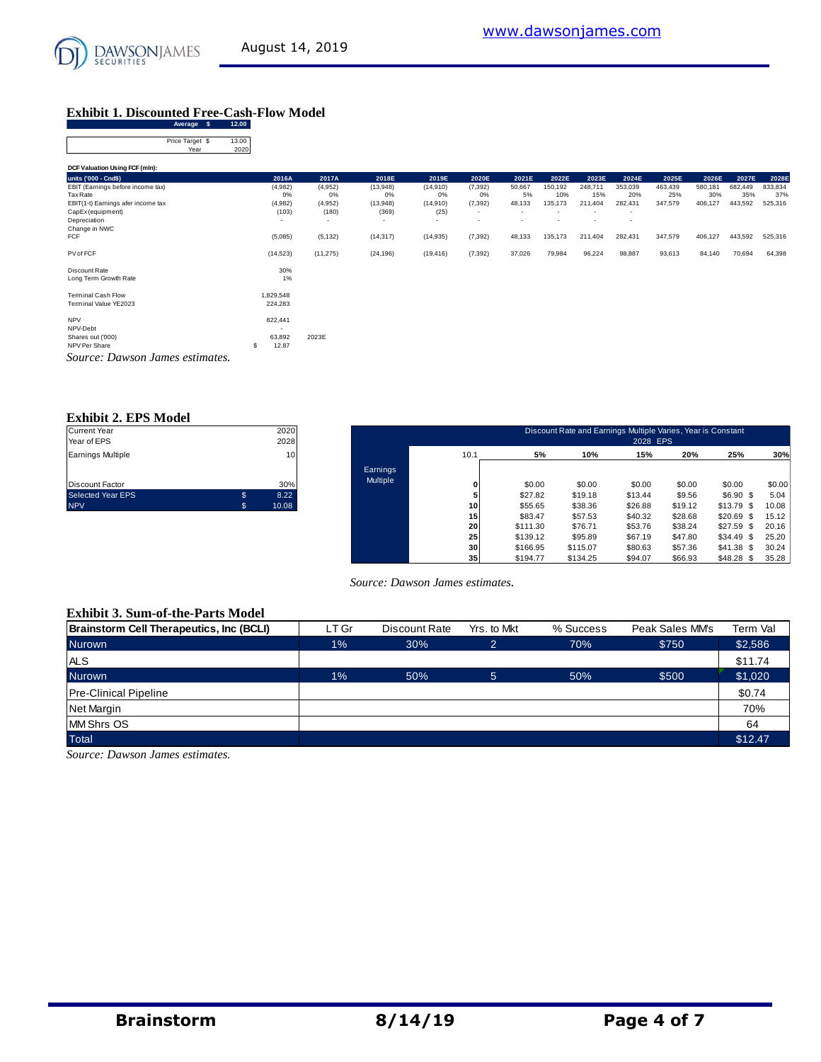

## **Exhibit 1. Discounted Free-Cash-Flow Model**

| Average \$                         | 12.00         |           |           |           |           |                          |        |         |                          |                          |         |         |         |         |
|------------------------------------|---------------|-----------|-----------|-----------|-----------|--------------------------|--------|---------|--------------------------|--------------------------|---------|---------|---------|---------|
| Price Target \$<br>Year            | 13.00<br>2020 |           |           |           |           |                          |        |         |                          |                          |         |         |         |         |
| DCF Valuation Using FCF (mln):     |               |           |           |           |           |                          |        |         |                          |                          |         |         |         |         |
| units ('000 - Cnd\$)               |               | 2016A     | 2017A     | 2018E     | 2019E     | 2020E                    | 2021E  | 2022E   | 2023E                    | 2024E                    | 2025E   | 2026E   | 2027E   | 2028E   |
| EBIT (Earnings before income tax)  |               | (4,982)   | (4,952)   | (13,948)  | (14, 910) | (7, 392)                 | 50,667 | 150,192 | 248,711                  | 353,039                  | 463,439 | 580,181 | 682,449 | 833,834 |
| Tax Rate                           |               | 0%        | 0%        | 0%        | 0%        | 0%                       | 5%     | 10%     | 15%                      | 20%                      | 25%     | 30%     | 35%     | 37%     |
| EBIT(1-t) Earnings afer income tax |               | (4,982)   | (4,952)   | (13,948)  | (14,910)  | (7, 392)                 | 48,133 | 135,173 | 211,404                  | 282,431                  | 347,579 | 406,127 | 443,592 | 525,316 |
| CapEx (equipment)                  |               | (103)     | (180)     | (369)     | (25)      | $\overline{\phantom{a}}$ |        |         | ٠                        | $\overline{\phantom{a}}$ |         |         |         |         |
| Depreciation                       |               | $\sim$    | $\sim$    | $\sim$    | $\sim$    | ٠                        | -      |         | $\overline{\phantom{a}}$ | $\overline{\phantom{a}}$ |         |         |         |         |
| Change in NWC                      |               |           |           |           |           |                          |        |         |                          |                          |         |         |         |         |
| FCF                                |               | (5,085)   | (5, 132)  | (14, 317) | (14, 935) | (7, 392)                 | 48,133 | 135,173 | 211,404                  | 282,431                  | 347,579 | 406,127 | 443,592 | 525,316 |
| PV of FCF                          |               | (14, 523) | (11, 275) | (24, 196) | (19, 416) | (7, 392)                 | 37,026 | 79,984  | 96,224                   | 98,887                   | 93,613  | 84,140  | 70,694  | 64,398  |
| Discount Rate                      |               | 30%       |           |           |           |                          |        |         |                          |                          |         |         |         |         |
| Long Term Growth Rate              |               | 1%        |           |           |           |                          |        |         |                          |                          |         |         |         |         |
| <b>Terminal Cash Flow</b>          |               | 829,548   |           |           |           |                          |        |         |                          |                          |         |         |         |         |
| Terminal Value YE2023              |               | 224,283   |           |           |           |                          |        |         |                          |                          |         |         |         |         |
| <b>NPV</b>                         |               | 822,441   |           |           |           |                          |        |         |                          |                          |         |         |         |         |
| NPV-Debt                           |               | $\sim$    |           |           |           |                          |        |         |                          |                          |         |         |         |         |
| Shares out ('000)                  |               | 63,892    | 2023E     |           |           |                          |        |         |                          |                          |         |         |         |         |
| NPV Per Share                      | s             | 12.87     |           |           |           |                          |        |         |                          |                          |         |         |         |         |
| Source: Dawson James estimates.    |               |           |           |           |           |                          |        |         |                          |                          |         |         |         |         |

#### **Exhibit 2. EPS Model**

| <b>Current Year</b>      |   | 2020  |
|--------------------------|---|-------|
| Year of EPS              |   | 2028  |
| Earnings Multiple        |   | 10    |
|                          |   |       |
|                          |   |       |
| <b>Discount Factor</b>   |   | 30%   |
| <b>Selected Year EPS</b> | S | 8.22  |
| <b>NPV</b>               | S | 10.08 |
|                          |   |       |

| Current Year<br>Year of EPS |     | 2020<br>2028    |          |                 |          | Discount Rate and Earnings Multiple Varies, Year is Constant | 2028 EPS |         |                 |        |
|-----------------------------|-----|-----------------|----------|-----------------|----------|--------------------------------------------------------------|----------|---------|-----------------|--------|
| Earnings Multiple           |     | 10 <sup>1</sup> |          | 10.1            | 5%       | 10%                                                          | 15%      | 20%     | 25%             | 30%    |
|                             |     |                 | Earnings |                 |          |                                                              |          |         |                 |        |
| Discount Factor             |     | 30%             | Multiple | 0               | \$0.00   | \$0.00                                                       | \$0.00   | \$0.00  | \$0.00          | \$0.00 |
| Selected Year EPS           | \$. | 8.22            |          | 5               | \$27.82  | \$19.18                                                      | \$13.44  | \$9.56  | $$6.90$ \$      | 5.04   |
| <b>NPV</b>                  | \$  | 10.08           |          | 10              | \$55.65  | \$38.36                                                      | \$26.88  | \$19.12 | $$13.79$ \$     | 10.08  |
|                             |     |                 |          | 15              | \$83.47  | \$57.53                                                      | \$40.32  | \$28.68 | \$20.69<br>-S   | 15.12  |
|                             |     |                 |          | 20              | \$111.30 | \$76.71                                                      | \$53.76  | \$38.24 | \$27.59<br>- 95 | 20.16  |
|                             |     |                 |          | 25              | \$139.12 | \$95.89                                                      | \$67.19  | \$47.80 | \$34.49<br>- \$ | 25.20  |
|                             |     |                 |          | 30              | \$166.95 | \$115.07                                                     | \$80.63  | \$57.36 | \$41.38<br>- 95 | 30.24  |
|                             |     |                 |          | 35 <sub>1</sub> | \$194.77 | \$134.25                                                     | \$94.07  | \$66.93 | \$48.28<br>-S   | 35.28  |

#### **Exhibit 3. Sum-of-the-Parts Model**

| Source: Dawson James estimates.          |       |               |                 |           |                 |          |  |  |  |  |  |  |
|------------------------------------------|-------|---------------|-----------------|-----------|-----------------|----------|--|--|--|--|--|--|
| <b>Exhibit 3. Sum-of-the-Parts Model</b> |       |               |                 |           |                 |          |  |  |  |  |  |  |
| Brainstorm Cell Therapeutics, Inc (BCLI) | LT Gr | Discount Rate | Yrs. to Mkt     | % Success | Peak Sales MM's | Term Val |  |  |  |  |  |  |
| <b>Nurown</b>                            | $1\%$ | 30%           | $\overline{2}$  | 70%       | \$750           | \$2,586  |  |  |  |  |  |  |
| <b>ALS</b>                               |       |               |                 |           |                 | \$11.74  |  |  |  |  |  |  |
| <b>Nurown</b>                            | $1\%$ | 50%           | $5\phantom{.0}$ | 50%       | \$500           | \$1,020  |  |  |  |  |  |  |
| <b>Pre-Clinical Pipeline</b>             |       |               |                 |           |                 | \$0.74   |  |  |  |  |  |  |
| Net Margin                               |       |               |                 |           |                 | 70%      |  |  |  |  |  |  |
| <b>MM Shrs OS</b>                        |       |               |                 |           |                 | 64       |  |  |  |  |  |  |
| <b>Total</b>                             |       |               |                 |           |                 | \$12.47  |  |  |  |  |  |  |

*Source: Dawson James estimates.*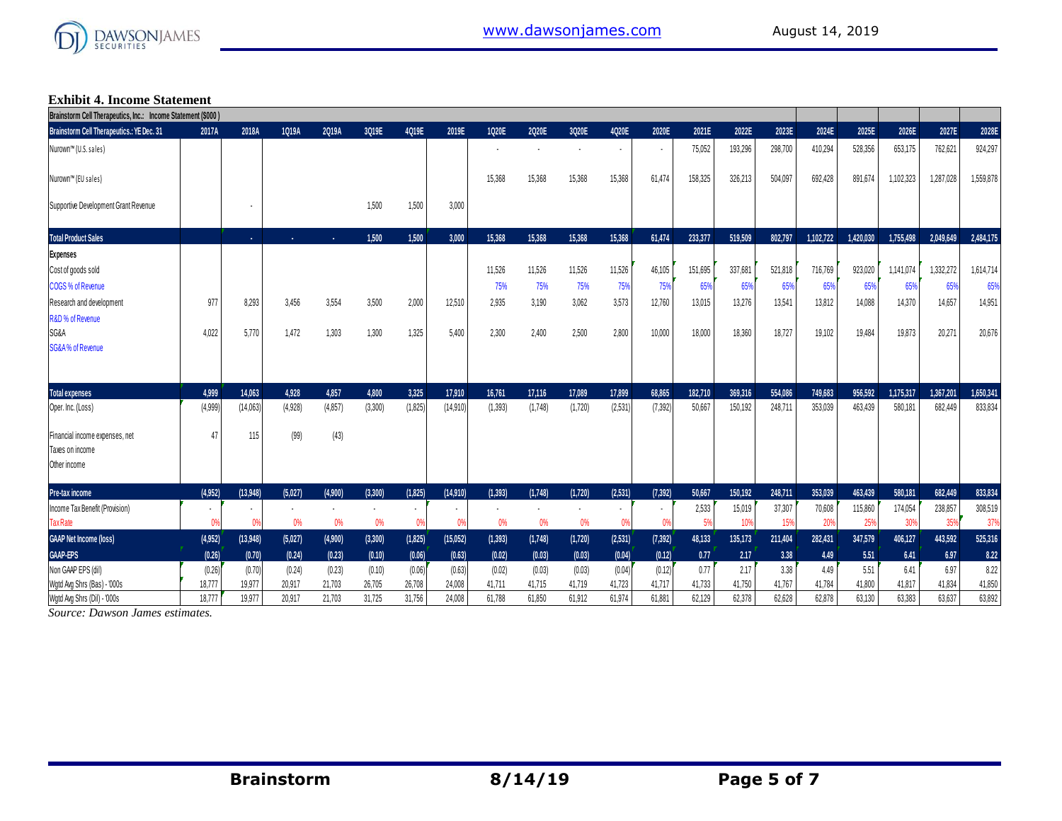

#### **Exhibit 4. Income Statement**

| Brainstorm Cell Therapeutics, Inc.: Income Statement (\$000) |                |                |                |                |         |          |          |                |                |                |         |                |         |                 |         |           |           |           |           |           |
|--------------------------------------------------------------|----------------|----------------|----------------|----------------|---------|----------|----------|----------------|----------------|----------------|---------|----------------|---------|-----------------|---------|-----------|-----------|-----------|-----------|-----------|
| <b>Brainstorm Cell Therapeutics.: YE Dec. 31</b>             | 2017A          | 2018A          | 1Q19A          | 2Q19A          | 3Q19E   | 4Q19E    | 2019E    | 1020E          | 2Q20E          | 3Q20E          | 4Q20E   | 2020E          | 2021E   | 2022E           | 2023E   | 2024E     | 2025E     | 2026E     | 2027E     | 2028E     |
| Nurown™ (U.S. sales)                                         |                |                |                |                |         |          |          |                |                |                |         | $\blacksquare$ | 75,052  | 193,296         | 298,700 | 410,294   | 528,356   | 653,175   | 762,621   | 924,297   |
| Nurown™ (EU sales)                                           |                |                |                |                |         |          |          | 15,368         | 15,368         | 15,368         | 15,368  | 61.474         | 158.325 | 326,213         | 504,097 | 692,428   | 891,674   | 1,102,323 | 1,287,028 | 1,559,878 |
| Supportive Development Grant Revenue                         |                |                |                |                | 1.500   | 1,500    | 3,000    |                |                |                |         |                |         |                 |         |           |           |           |           |           |
| <b>Total Product Sales</b>                                   |                | $\sim$         | ×.             | ×.             | 1.500   | 1.500    | 3,000    | 15,368         | 15,368         | 15,368         | 15,368  | 61.474         | 233,377 | 519,509         | 802.797 | 1,102,722 | 1.420.030 | 1.755.498 | 2,049,649 | 2,484,175 |
| <b>Expenses</b>                                              |                |                |                |                |         |          |          |                |                |                |         |                |         |                 |         |           |           |           |           |           |
| Cost of goods sold                                           |                |                |                |                |         |          |          | 11.526         | 11,526         | 11,526         | 11,526  | 46,105         | 151,695 | 337,681         | 521,818 | 716,769   | 923,020   | 1,141,074 | 1,332,272 | 1,614,714 |
| COGS % of Revenue                                            |                |                |                |                |         |          |          | 75%            | 75%            | 75%            | 75%     | 75%            | 65%     | 65%             | 65%     | 65%       | 65%       | 65%       | 65%       | 65%       |
| Research and development                                     | 977            | 8,293          | 3,456          | 3,554          | 3,500   | 2,000    | 12,510   | 2,935          | 3,190          | 3,062          | 3,573   | 12.760         | 13,015  | 13,276          | 13,541  | 13,812    | 14,088    | 14.370    | 14,657    | 14,951    |
| R&D % of Revenue                                             |                |                |                |                |         |          |          |                |                |                |         |                |         |                 |         |           |           |           |           |           |
| SG&A                                                         | 4,022          | 5.770          | 1,472          | 1,303          | 1,300   | 1,325    | 5.400    | 2,300          | 2,400          | 2,500          | 2,800   | 10,000         | 18,000  | 18,360          | 18,727  | 19,102    | 19,484    | 19.873    | 20,271    | 20,676    |
| <b>SG&amp;A% of Revenue</b>                                  |                |                |                |                |         |          |          |                |                |                |         |                |         |                 |         |           |           |           |           |           |
| <b>Total expenses</b>                                        | 4.999          | 14.063         | 4.928          | 4,857          | 4.800   | 3.325    | 17.910   | 16.761         | 17,116         | 17.089         | 17,899  | 68,865         | 182.710 | 369,316         | 554.086 | 749,683   | 956,592   | 1.175.317 | 1.367.201 | 1.650,341 |
| Oper. Inc. (Loss)                                            | (4,999)        | (14,063)       | (4.928)        | (4, 857)       | (3,300) | (1,825)  | (14.910) | (1,393)        | (1,748)        | (1,720)        | (2.531) | (7, 392)       | 50,667  | 150,192         | 248,711 | 353,039   | 463,439   | 580,181   | 682,449   | 833,834   |
| Financial income expenses, net                               | 47             | 115            | (99)           | (43)           |         |          |          |                |                |                |         |                |         |                 |         |           |           |           |           |           |
| Taxes on income                                              |                |                |                |                |         |          |          |                |                |                |         |                |         |                 |         |           |           |           |           |           |
| Other income                                                 |                |                |                |                |         |          |          |                |                |                |         |                |         |                 |         |           |           |           |           |           |
| Pre-tax income                                               | (4,952)        | (13.948)       | (5.027)        | (4,900)        | (3.300) | (1.825)  | (14,910) | (1.393)        | (1,748)        | (1,720)        | (2,531) | (7, 392)       | 50.667  | 150.192         | 248.711 | 353,039   | 463.439   | 580.181   | 682.449   | 833,834   |
| Income Tax Benefit (Provision)                               | $\blacksquare$ | $\blacksquare$ | $\blacksquare$ | $\blacksquare$ | $\cdot$ | $\sim$   | $\cdot$  | $\blacksquare$ | $\blacksquare$ | $\blacksquare$ | $\sim$  | $\cdot$        | 2,533   | 15,019          | 37,307  | 70,608    | 115,860   | 174,054   | 238,857   | 308,519   |
| <b>Tax Rate</b>                                              | 0%             | 0%             | 0%             | 0%             | 0%      | 0%       | 0%       | 0%             | 0%             | 0%             | 0%      | 0%             | 5%      | 10 <sup>9</sup> | 15%     | 20%       | 25%       | 30%       | 359       | 37%       |
| <b>GAAP Net Income (loss)</b>                                | (4,952)        | (13,948)       | (5,027)        | (4,900)        | (3,300) | (1, 825) | (15,052) | (1, 393)       | (1,748)        | (1,720)        | (2,531) | (7, 392)       | 48,133  | 135,173         | 211,404 | 282,431   | 347,579   | 406,127   | 443,592   | 525,316   |
| <b>GAAP-EPS</b>                                              | (0.26)         | (0.70)         | (0.24)         | (0.23)         | (0.10)  | (0.06)   | (0.63)   | (0.02)         | (0.03)         | (0.03)         | (0.04)  | (0.12)         | 0.77    | 2.17            | 3.38    | 4.49      | 5.51      | 6.41      | 6.97      | 8.22      |
| Non GAAP EPS (dil)                                           | (0.26)         | (0.70)         | (0.24)         | (0.23)         | (0.10)  | (0.06)   | (0.63)   | (0.02)         | (0.03)         | (0.03)         | (0.04)  | (0.12)         | 0.77    | 2.17            | 3.38    | 4.49      | 5.51      | 6.41      | 6.97      | 8.22      |
| Wgtd Avg Shrs (Bas) - '000s                                  | 18,777         | 19,977         | 20,917         | 21,703         | 26,705  | 26,708   | 24,008   | 41,711         | 41,715         | 41,719         | 41,723  | 41,717         | 41,733  | 41,750          | 41,767  | 41,784    | 41,800    | 41,817    | 41,834    | 41,850    |
| Watd Ava Shrs (Dil) - '000s                                  | 18.777         | 19.977         | 20.917         | 21.703         | 31.725  | 31,756   | 24.008   | 61.788         | 61.850         | 61.912         | 61.974  | 61.881         | 62.129  | 62.378          | 62.628  | 62.878    | 63.130    | 63.383    | 63.637    | 63,892    |

*Source: Dawson James estimates.*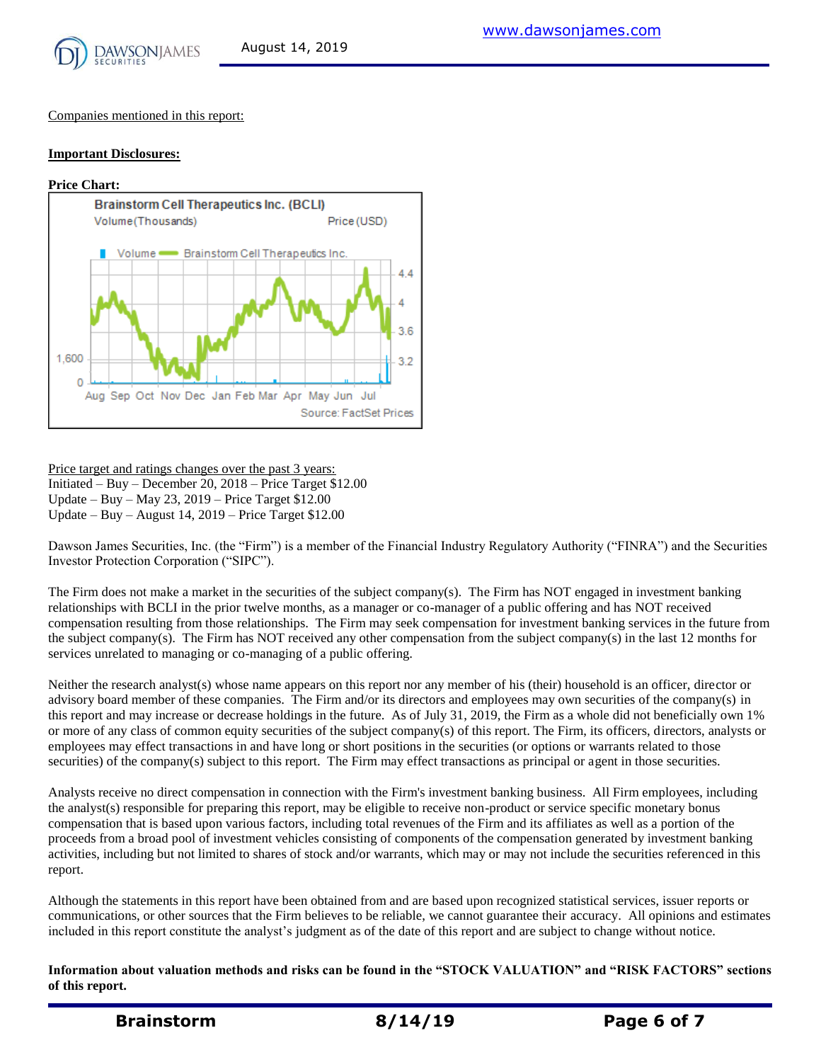

Companies mentioned in this report:

#### **Important Disclosures:**

#### **Price Chart:**



Price target and ratings changes over the past 3 years: Initiated – Buy – December 20, 2018 – Price Target \$12.00 Update – Buy – May 23, 2019 – Price Target \$12.00 Update – Buy – August 14, 2019 – Price Target \$12.00

Dawson James Securities, Inc. (the "Firm") is a member of the Financial Industry Regulatory Authority ("FINRA") and the Securities Investor Protection Corporation ("SIPC").

The Firm does not make a market in the securities of the subject company(s). The Firm has NOT engaged in investment banking relationships with BCLI in the prior twelve months, as a manager or co-manager of a public offering and has NOT received compensation resulting from those relationships. The Firm may seek compensation for investment banking services in the future from the subject company(s). The Firm has NOT received any other compensation from the subject company(s) in the last 12 months for services unrelated to managing or co-managing of a public offering.

Neither the research analyst(s) whose name appears on this report nor any member of his (their) household is an officer, director or advisory board member of these companies. The Firm and/or its directors and employees may own securities of the company(s) in this report and may increase or decrease holdings in the future. As of July 31, 2019, the Firm as a whole did not beneficially own 1% or more of any class of common equity securities of the subject company(s) of this report. The Firm, its officers, directors, analysts or employees may effect transactions in and have long or short positions in the securities (or options or warrants related to those securities) of the company(s) subject to this report. The Firm may effect transactions as principal or agent in those securities.

Analysts receive no direct compensation in connection with the Firm's investment banking business. All Firm employees, including the analyst(s) responsible for preparing this report, may be eligible to receive non-product or service specific monetary bonus compensation that is based upon various factors, including total revenues of the Firm and its affiliates as well as a portion of the proceeds from a broad pool of investment vehicles consisting of components of the compensation generated by investment banking activities, including but not limited to shares of stock and/or warrants, which may or may not include the securities referenced in this report.

Although the statements in this report have been obtained from and are based upon recognized statistical services, issuer reports or communications, or other sources that the Firm believes to be reliable, we cannot guarantee their accuracy. All opinions and estimates included in this report constitute the analyst's judgment as of the date of this report and are subject to change without notice.

**Information about valuation methods and risks can be found in the "STOCK VALUATION" and "RISK FACTORS" sections of this report.**